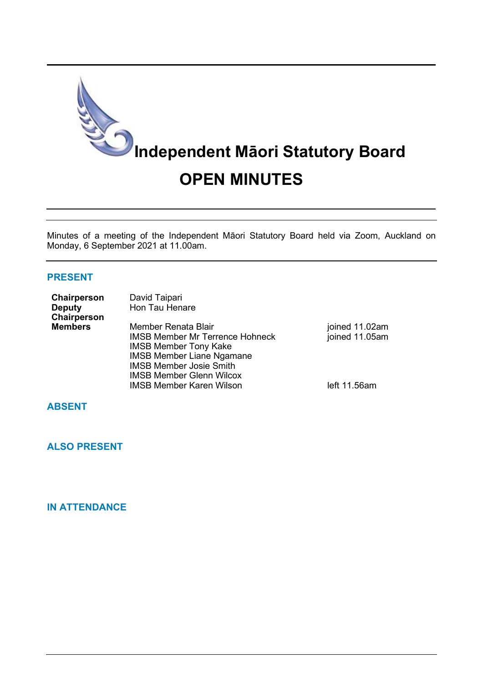

Minutes of a meeting of the Independent Māori Statutory Board held via Zoom, Auckland on Monday, 6 September 2021 at 11.00am.

# **PRESENT**

| Chairperson<br><b>Deputy</b> | David Taipari<br>Hon Tau Henare        |                 |
|------------------------------|----------------------------------------|-----------------|
| Chairperson                  |                                        |                 |
| <b>Members</b>               | Member Renata Blair                    | joined 11.02am  |
|                              | <b>IMSB Member Mr Terrence Hohneck</b> | joined 11.05am  |
|                              | <b>IMSB Member Tony Kake</b>           |                 |
|                              | <b>IMSB Member Liane Ngamane</b>       |                 |
|                              | <b>IMSB Member Josie Smith</b>         |                 |
|                              | <b>IMSB Member Glenn Wilcox</b>        |                 |
|                              | <b>IMSB Member Karen Wilson</b>        | left $11.56$ am |

# **ABSENT**

# **ALSO PRESENT**

# **IN ATTENDANCE**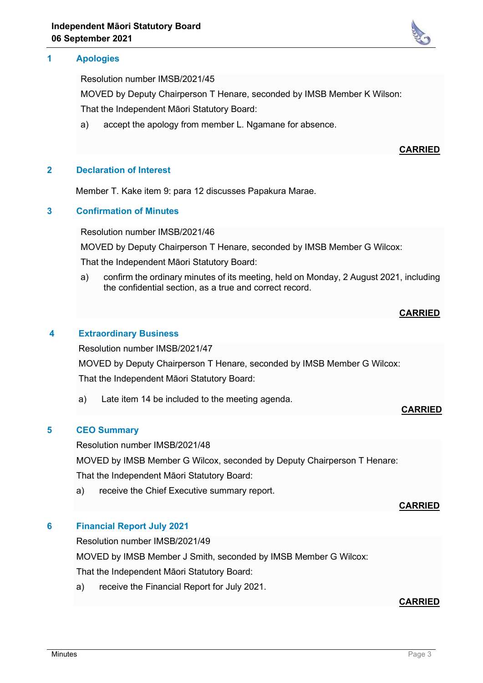# **1 Apologies**

Resolution number IMSB/2021/45

MOVED by Deputy Chairperson T Henare, seconded by IMSB Member K Wilson:

That the Independent Māori Statutory Board:

a) accept the apology from member L. Ngamane for absence.

# **CARRIED**

# **2 Declaration of Interest**

Member T. Kake item 9: para 12 discusses Papakura Marae.

# **3 Confirmation of Minutes**

Resolution number IMSB/2021/46

MOVED by Deputy Chairperson T Henare, seconded by IMSB Member G Wilcox:

That the Independent Māori Statutory Board:

a) confirm the ordinary minutes of its meeting, held on Monday, 2 August 2021, including the confidential section, as a true and correct record.

# **CARRIED**

**CARRIED**

# **4 Extraordinary Business**

Resolution number IMSB/2021/47

MOVED by Deputy Chairperson T Henare, seconded by IMSB Member G Wilcox:

That the Independent Māori Statutory Board:

a) Late item 14 be included to the meeting agenda.

# **5 CEO Summary**

Resolution number IMSB/2021/48

MOVED by IMSB Member G Wilcox, seconded by Deputy Chairperson T Henare:

That the Independent Māori Statutory Board:

a) receive the Chief Executive summary report.

# **CARRIED**

#### **6 Financial Report July 2021**

Resolution number IMSB/2021/49

MOVED by IMSB Member J Smith, seconded by IMSB Member G Wilcox:

That the Independent Māori Statutory Board:

a) receive the Financial Report for July 2021.

#### **CARRIED**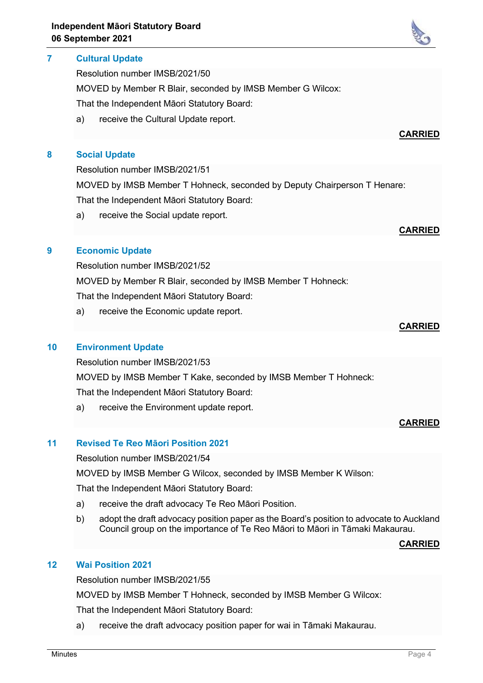#### **7 Cultural Update**

Resolution number IMSB/2021/50

MOVED by Member R Blair, seconded by IMSB Member G Wilcox:

That the Independent Māori Statutory Board:

a) receive the Cultural Update report.

#### **8 Social Update**

Resolution number IMSB/2021/51

MOVED by IMSB Member T Hohneck, seconded by Deputy Chairperson T Henare: That the Independent Māori Statutory Board:

a) receive the Social update report.

# **9 Economic Update**

Resolution number IMSB/2021/52

MOVED by Member R Blair, seconded by IMSB Member T Hohneck:

That the Independent Māori Statutory Board:

a) receive the Economic update report.

# **10 Environment Update**

Resolution number IMSB/2021/53

MOVED by IMSB Member T Kake, seconded by IMSB Member T Hohneck:

That the Independent Māori Statutory Board:

a) receive the Environment update report.

# **CARRIED**

# **11 Revised Te Reo Māori Position 2021**

Resolution number IMSB/2021/54

MOVED by IMSB Member G Wilcox, seconded by IMSB Member K Wilson:

That the Independent Māori Statutory Board:

- a) receive the draft advocacy Te Reo Māori Position.
- b) adopt the draft advocacy position paper as the Board's position to advocate to Auckland Council group on the importance of Te Reo Māori to Māori in Tāmaki Makaurau.

#### **CARRIED**

# **12 Wai Position 2021**

Resolution number IMSB/2021/55

MOVED by IMSB Member T Hohneck, seconded by IMSB Member G Wilcox:

That the Independent Māori Statutory Board:

a) receive the draft advocacy position paper for wai in Tāmaki Makaurau.



# **CARRIED**

**CARRIED**

**CARRIED**